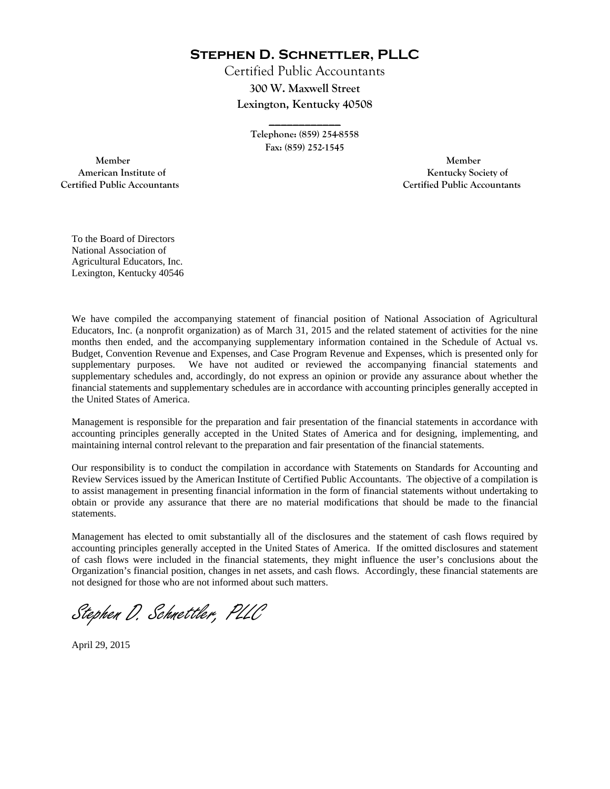**Stephen D. Schnettler, PLLC**

Certified Public Accountants **300 W. Maxwell Street Lexington, Kentucky 40508** 

> **Telephone: (859) 254-8558 Fax: (859) 252-1545**

**\_\_\_\_\_\_\_\_\_\_\_\_** 

 **Member Member Certified Public Accountants Certified Public Accountants** 

American Institute of **Kentucky Society of** 

To the Board of Directors National Association of Agricultural Educators, Inc. Lexington, Kentucky 40546

We have compiled the accompanying statement of financial position of National Association of Agricultural Educators, Inc. (a nonprofit organization) as of March 31, 2015 and the related statement of activities for the nine months then ended, and the accompanying supplementary information contained in the Schedule of Actual vs. Budget, Convention Revenue and Expenses, and Case Program Revenue and Expenses, which is presented only for supplementary purposes. We have not audited or reviewed the accompanying financial statements and supplementary schedules and, accordingly, do not express an opinion or provide any assurance about whether the financial statements and supplementary schedules are in accordance with accounting principles generally accepted in the United States of America.

Management is responsible for the preparation and fair presentation of the financial statements in accordance with accounting principles generally accepted in the United States of America and for designing, implementing, and maintaining internal control relevant to the preparation and fair presentation of the financial statements.

Our responsibility is to conduct the compilation in accordance with Statements on Standards for Accounting and Review Services issued by the American Institute of Certified Public Accountants. The objective of a compilation is to assist management in presenting financial information in the form of financial statements without undertaking to obtain or provide any assurance that there are no material modifications that should be made to the financial statements.

Management has elected to omit substantially all of the disclosures and the statement of cash flows required by accounting principles generally accepted in the United States of America. If the omitted disclosures and statement of cash flows were included in the financial statements, they might influence the user's conclusions about the Organization's financial position, changes in net assets, and cash flows. Accordingly, these financial statements are not designed for those who are not informed about such matters.

Stephen D. Schnettler, PLLC

April 29, 2015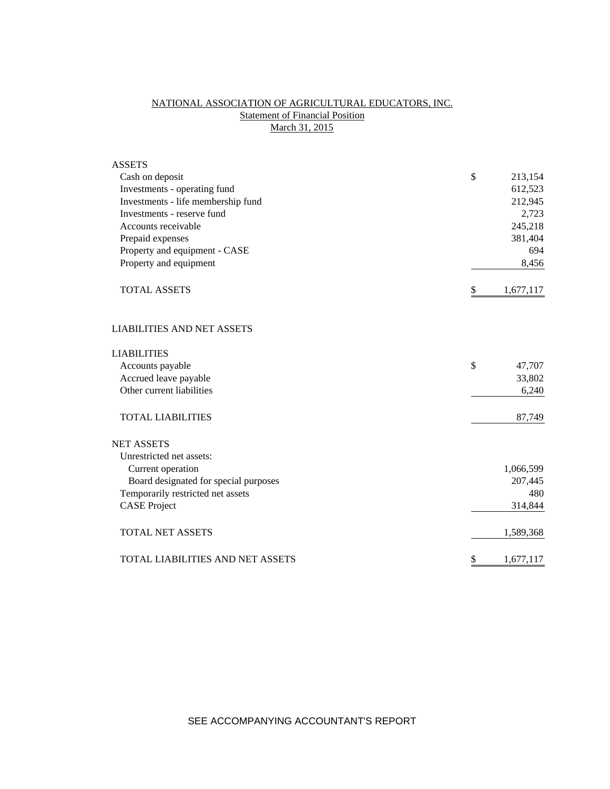# NATIONAL ASSOCIATION OF AGRICULTURAL EDUCATORS, INC. **Statement of Financial Position** March 31, 2015

| <b>ASSETS</b>                         |                 |
|---------------------------------------|-----------------|
| Cash on deposit                       | \$<br>213,154   |
| Investments - operating fund          | 612,523         |
| Investments - life membership fund    | 212,945         |
| Investments - reserve fund            | 2,723           |
| Accounts receivable                   | 245,218         |
| Prepaid expenses                      | 381,404         |
| Property and equipment - CASE         | 694             |
| Property and equipment                | 8,456           |
| <b>TOTAL ASSETS</b>                   | \$<br>1,677,117 |
| <b>LIABILITIES AND NET ASSETS</b>     |                 |
| <b>LIABILITIES</b>                    |                 |
| Accounts payable                      | \$<br>47,707    |
| Accrued leave payable                 | 33,802          |
| Other current liabilities             | 6,240           |
| <b>TOTAL LIABILITIES</b>              | 87,749          |
| <b>NET ASSETS</b>                     |                 |
| Unrestricted net assets:              |                 |
| Current operation                     | 1,066,599       |
| Board designated for special purposes | 207,445         |
| Temporarily restricted net assets     | 480             |
| <b>CASE Project</b>                   | 314,844         |
| <b>TOTAL NET ASSETS</b>               | 1,589,368       |
| TOTAL LIABILITIES AND NET ASSETS      | \$<br>1,677,117 |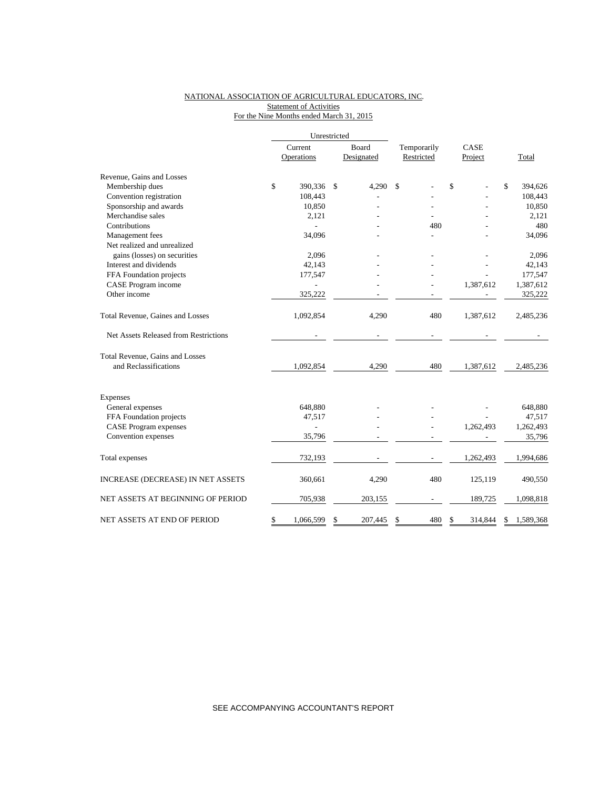## NATIONAL ASSOCIATION OF AGRICULTURAL EDUCATORS, INC. **Statement of Activities** For the Nine Months ended March 31, 2015

|                                       |         | Unrestricted  |       |            |             |               |                 |
|---------------------------------------|---------|---------------|-------|------------|-------------|---------------|-----------------|
|                                       | Current |               | Board |            | Temporarily | CASE          |                 |
|                                       |         | Operations    |       | Designated | Restricted  | Project       | Total           |
| Revenue, Gains and Losses             |         |               |       |            |             |               |                 |
| Membership dues                       | \$      | 390,336       | \$    | 4,290      | \$          | \$            | \$<br>394,626   |
| Convention registration               |         | 108,443       |       |            |             |               | 108,443         |
| Sponsorship and awards                |         | 10,850        |       |            |             |               | 10,850          |
| Merchandise sales                     |         | 2,121         |       |            |             |               | 2,121           |
| Contributions                         |         |               |       |            | 480         |               | 480             |
| Management fees                       |         | 34,096        |       |            |             |               | 34,096          |
| Net realized and unrealized           |         |               |       |            |             |               |                 |
| gains (losses) on securities          |         | 2,096         |       |            |             |               | 2,096           |
| Interest and dividends                |         | 42,143        |       |            |             |               | 42,143          |
| FFA Foundation projects               |         | 177,547       |       |            |             |               | 177,547         |
| CASE Program income                   |         |               |       |            |             | 1,387,612     | 1,387,612       |
| Other income                          |         | 325,222       |       |            |             |               | 325,222         |
| Total Revenue, Gaines and Losses      |         | 1,092,854     |       | 4,290      | 480         | 1,387,612     | 2,485,236       |
| Net Assets Released from Restrictions |         |               |       |            |             |               |                 |
| Total Revenue, Gains and Losses       |         |               |       |            |             |               |                 |
| and Reclassifications                 |         | 1,092,854     |       | 4,290      | 480         | 1,387,612     | 2,485,236       |
| <b>Expenses</b>                       |         |               |       |            |             |               |                 |
| General expenses                      |         | 648,880       |       |            |             |               | 648,880         |
| FFA Foundation projects               |         | 47,517        |       |            |             |               | 47,517          |
| <b>CASE Program expenses</b>          |         | $\frac{1}{2}$ |       |            |             | 1,262,493     | 1,262,493       |
| Convention expenses                   |         | 35,796        |       |            |             |               | 35,796          |
| Total expenses                        |         | 732,193       |       |            |             | 1,262,493     | 1,994,686       |
| INCREASE (DECREASE) IN NET ASSETS     |         | 360,661       |       | 4,290      | 480         | 125,119       | 490,550         |
| NET ASSETS AT BEGINNING OF PERIOD     |         | 705,938       |       | 203,155    |             | 189,725       | 1,098,818       |
| NET ASSETS AT END OF PERIOD           | \$      | 1,066,599     | \$    | 207,445    | \$<br>480   | \$<br>314,844 | \$<br>1,589,368 |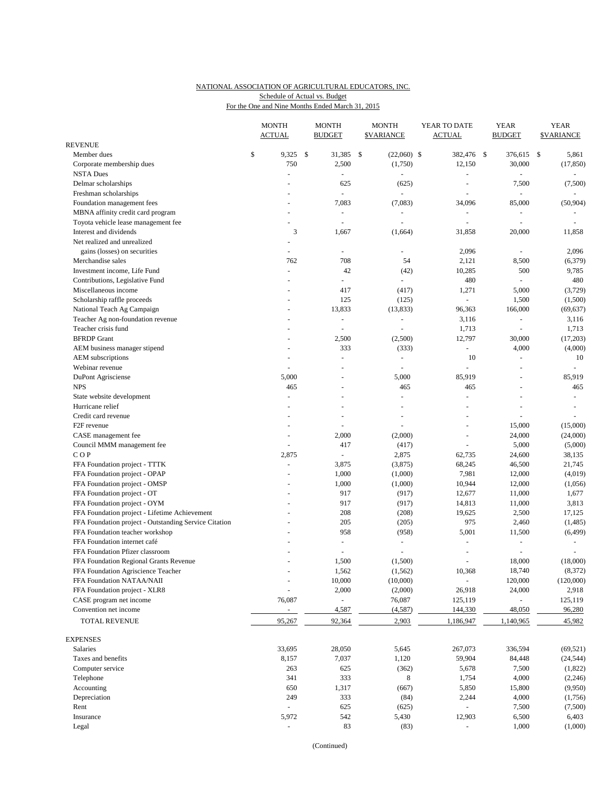## NATIONAL ASSOCIATION OF AGRICULTURAL EDUCATORS, INC. For the One and Nine Months Ended March 31, 2015 Schedule of Actual vs. Budget

|                                                       | <b>MONTH</b><br><b>ACTUAL</b> |      | <b>MONTH</b><br><b>BUDGET</b> |     | <b>MONTH</b><br><b><i>SVARIANCE</i></b> | YEAR TO DATE<br><b>ACTUAL</b> | <b>YEAR</b><br><b>BUDGET</b> | <b>YEAR</b><br><b>SVARIANCE</b> |
|-------------------------------------------------------|-------------------------------|------|-------------------------------|-----|-----------------------------------------|-------------------------------|------------------------------|---------------------------------|
| <b>REVENUE</b>                                        |                               |      |                               |     |                                         |                               |                              |                                 |
| Member dues                                           | \$<br>9,325                   | - \$ | 31,385                        | -\$ | $(22,060)$ \$                           | 382,476 \$                    | 376,615                      | \$<br>5,861                     |
| Corporate membership dues                             | 750                           |      | 2,500                         |     | (1,750)                                 | 12,150                        | 30,000                       | (17, 850)                       |
| <b>NSTA Dues</b>                                      | $\overline{a}$                |      |                               |     |                                         |                               |                              |                                 |
| Delmar scholarships                                   |                               |      | 625                           |     | (625)                                   | L,                            | 7,500                        | (7,500)                         |
| Freshman scholarships                                 |                               |      | $\overline{\phantom{a}}$      |     | $\overline{\phantom{a}}$                | L,                            | $\overline{a}$               | $\omega$                        |
| Foundation management fees                            |                               |      | 7,083                         |     | (7,083)                                 | 34,096                        | 85,000                       | (50, 904)                       |
| MBNA affinity credit card program                     |                               |      |                               |     |                                         |                               | $\blacksquare$               |                                 |
| Toyota vehicle lease management fee                   | $\overline{a}$                |      | $\overline{\phantom{a}}$      |     | ä,                                      | ä,                            | $\blacksquare$               | $\sim$                          |
| Interest and dividends                                | 3                             |      | 1,667                         |     | (1,664)                                 | 31,858                        | 20,000                       | 11,858                          |
| Net realized and unrealized                           | $\sim$                        |      |                               |     |                                         |                               |                              |                                 |
| gains (losses) on securities                          |                               |      |                               |     |                                         | 2,096                         | ä,                           | 2,096                           |
| Merchandise sales                                     | 762                           |      | 708                           |     | 54                                      | 2,121                         | 8,500                        | (6,379)                         |
| Investment income, Life Fund                          |                               |      | 42                            |     | (42)                                    | 10,285                        | 500                          | 9,785                           |
| Contributions, Legislative Fund                       |                               |      |                               |     | $\overline{a}$                          | 480                           | ä,                           | 480                             |
| Miscellaneous income                                  |                               |      | 417                           |     | (417)                                   | 1,271                         | 5,000                        | (3,729)                         |
| Scholarship raffle proceeds                           |                               |      | 125                           |     | (125)                                   | $\blacksquare$                | 1,500                        | (1,500)                         |
| National Teach Ag Campaign                            |                               |      | 13,833                        |     | (13, 833)                               | 96,363                        | 166,000                      | (69, 637)                       |
| Teacher Ag non-foundation revenue                     | $\overline{a}$                |      | $\blacksquare$                |     | ä,                                      | 3,116                         | ä,                           | 3,116                           |
| Teacher crisis fund                                   |                               |      |                               |     |                                         | 1,713                         | $\sim$                       | 1,713                           |
| <b>BFRDP</b> Grant                                    |                               |      | 2,500                         |     | (2,500)                                 | 12,797                        | 30,000                       | (17,203)                        |
| AEM business manager stipend                          |                               |      | 333                           |     | (333)                                   | $\blacksquare$                | 4,000                        | (4,000)                         |
| AEM subscriptions                                     |                               |      | $\overline{a}$                |     | $\sim$                                  | 10                            | ÷,                           | 10                              |
| Webinar revenue                                       | ÷,                            |      | $\overline{a}$                |     | $\sim$                                  | ä,                            | $\sim$                       | $\omega$                        |
| DuPont Agrisciense                                    | 5,000                         |      |                               |     | 5,000                                   | 85,919                        | L.                           | 85,919                          |
| <b>NPS</b>                                            | 465                           |      |                               |     | 465                                     | 465                           | L,                           | 465                             |
| State website development                             | $\overline{a}$                |      | $\overline{\phantom{a}}$      |     | $\overline{a}$                          | $\overline{a}$                | L.                           | $\omega$                        |
| Hurricane relief                                      |                               |      |                               |     |                                         | ä,                            | ä,                           | $\sim$                          |
| Credit card revenue                                   |                               |      |                               |     |                                         |                               | L.                           |                                 |
| F <sub>2F</sub> revenue                               |                               |      | $\overline{\phantom{a}}$      |     | ÷,                                      | $\blacksquare$                | 15,000                       | (15,000)                        |
| CASE management fee                                   |                               |      | 2,000                         |     | (2,000)                                 | ä,                            | 24,000                       | (24,000)                        |
| Council MMM management fee                            | ÷,                            |      | 417                           |     | (417)                                   | ä,                            | 5,000                        | (5,000)                         |
| COP                                                   | 2,875                         |      |                               |     | 2,875                                   | 62,735                        | 24,600                       | 38,135                          |
| FFA Foundation project - TTTK                         | ÷,                            |      | 3,875                         |     | (3,875)                                 | 68,245                        | 46,500                       | 21,745                          |
| FFA Foundation project - OPAP                         |                               |      | 1,000                         |     | (1,000)                                 | 7,981                         | 12,000                       | (4,019)                         |
| FFA Foundation project - OMSP                         |                               |      | 1,000                         |     | (1,000)                                 | 10,944                        | 12,000                       | (1,056)                         |
| FFA Foundation project - OT                           |                               |      | 917                           |     | (917)                                   | 12,677                        | 11,000                       | 1,677                           |
| FFA Foundation project - OYM                          |                               |      | 917                           |     | (917)                                   | 14,813                        | 11,000                       | 3,813                           |
| FFA Foundation project - Lifetime Achievement         |                               |      | 208                           |     | (208)                                   | 19,625                        | 2,500                        | 17,125                          |
| FFA Foundation project - Outstanding Service Citation |                               |      | 205                           |     | (205)                                   | 975                           | 2,460                        | (1,485)                         |
| FFA Foundation teacher workshop                       |                               |      | 958                           |     | (958)                                   | 5,001                         | 11,500                       | (6, 499)                        |
| FFA Foundation internet café                          |                               |      | $\sim$                        |     | $\sim$                                  | $\equiv$                      | $\blacksquare$               |                                 |
| FFA Foundation Pfizer classroom                       |                               |      |                               |     | ÷,                                      | $\equiv$                      |                              |                                 |
| FFA Foundation Regional Grants Revenue                |                               |      | 1,500                         |     | (1,500)                                 | $\overline{a}$                | 18,000                       | (18,000)                        |
| FFA Foundation Agriscience Teacher                    |                               |      | 1,562                         |     | (1, 562)                                | 10,368                        | 18,740                       | (8, 372)                        |
| FFA Foundation NATAA/NAII                             |                               |      | 10,000                        |     | (10,000)                                | $\omega_{\rm c}$              | 120,000                      | (120,000)                       |
| FFA Foundation project - XLR8                         |                               |      | 2,000                         |     | (2,000)                                 | 26,918                        | 24,000                       | 2,918                           |
| CASE program net income                               | 76,087                        |      |                               |     | 76,087                                  | 125,119                       |                              | 125,119                         |
| Convention net income                                 | $\omega$                      |      | 4,587                         |     | (4,587)                                 | 144,330                       | 48,050                       | 96,280                          |
| TOTAL REVENUE                                         | 95,267                        |      | 92,364                        |     | 2,903                                   | 1,186,947                     | 1,140,965                    | 45,982                          |
| <b>EXPENSES</b>                                       |                               |      |                               |     |                                         |                               |                              |                                 |
| Salaries                                              | 33,695                        |      | 28,050                        |     | 5,645                                   | 267,073                       | 336,594                      | (69, 521)                       |
| Taxes and benefits                                    | 8,157                         |      | 7,037                         |     | 1,120                                   | 59,904                        | 84,448                       | (24, 544)                       |
| Computer service                                      | 263                           |      | 625                           |     | (362)                                   | 5,678                         | 7,500                        | (1,822)                         |
| Telephone                                             | 341                           |      | 333                           |     | 8                                       | 1,754                         | 4,000                        | (2,246)                         |
| Accounting                                            | 650                           |      | 1,317                         |     | (667)                                   | 5,850                         | 15,800                       | (9,950)                         |
| Depreciation                                          | 249                           |      | 333                           |     | (84)                                    | 2,244                         | 4,000                        | (1,756)                         |
| Rent                                                  | $\Box$                        |      | 625                           |     | (625)                                   | ÷.                            | 7,500                        | (7,500)                         |
| Insurance                                             | 5,972                         |      | 542                           |     | 5,430                                   | 12,903                        | 6,500                        | 6,403                           |
| Legal                                                 | $\overline{\phantom{a}}$      |      | 83                            |     | (83)                                    | $\blacksquare$                | 1,000                        | (1,000)                         |

(Continued)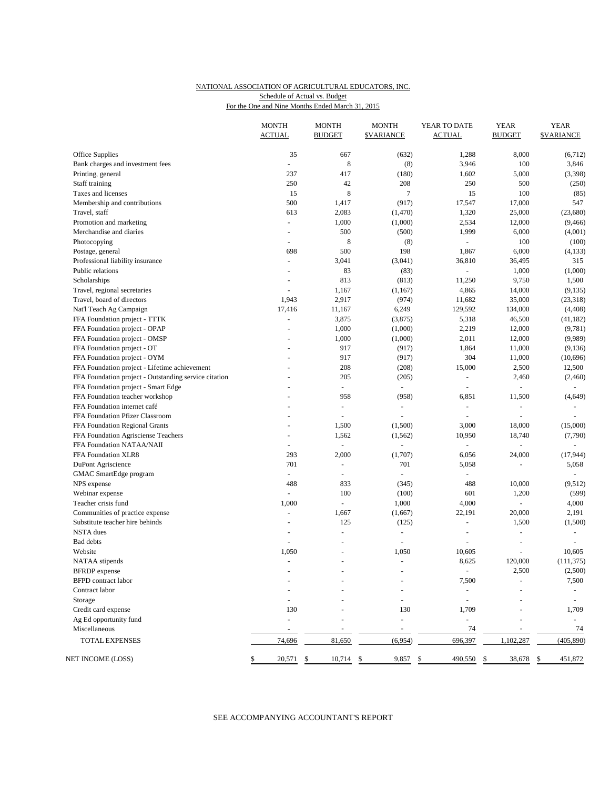## NATIONAL ASSOCIATION OF AGRICULTURAL EDUCATORS, INC. For the One and Nine Months Ended March 31, 2015 Schedule of Actual vs. Budget

|                                                       | <b>MONTH</b><br><b>ACTUAL</b> | <b>MONTH</b><br><b>BUDGET</b> | <b>MONTH</b><br><b>\$VARIANCE</b> | YEAR TO DATE<br><b>ACTUAL</b> | <b>YEAR</b><br><b>BUDGET</b> | <b>YEAR</b><br><b>\$VARIANCE</b> |
|-------------------------------------------------------|-------------------------------|-------------------------------|-----------------------------------|-------------------------------|------------------------------|----------------------------------|
| Office Supplies                                       | 35                            | 667                           | (632)                             | 1,288                         | 8,000                        | (6,712)                          |
| Bank charges and investment fees                      | L.                            | 8                             | (8)                               | 3,946                         | 100                          | 3,846                            |
| Printing, general                                     | 237                           | 417                           | (180)                             | 1,602                         | 5,000                        | (3,398)                          |
| Staff training                                        | 250                           | 42                            | 208                               | 250                           | 500                          | (250)                            |
| Taxes and licenses                                    | 15                            | 8                             | $\overline{7}$                    | 15                            | 100                          | (85)                             |
| Membership and contributions                          | 500                           | 1,417                         | (917)                             | 17,547                        | 17,000                       | 547                              |
| Travel, staff                                         | 613                           | 2,083                         | (1,470)                           | 1,320                         | 25,000                       | (23,680)                         |
| Promotion and marketing                               | ÷.                            | 1,000                         | (1,000)                           | 2,534                         | 12,000                       | (9, 466)                         |
| Merchandise and diaries                               | $\overline{\phantom{a}}$      | 500                           | (500)                             | 1,999                         | 6,000                        | (4,001)                          |
| Photocopying                                          | ÷.                            | 8                             | (8)                               | $\omega$                      | 100                          | (100)                            |
| Postage, general                                      | 698                           | 500                           | 198                               | 1,867                         | 6,000                        | (4, 133)                         |
| Professional liability insurance                      | $\omega$                      | 3,041                         | (3,041)                           | 36,810                        | 36,495                       | 315                              |
| Public relations                                      | ÷,                            | 83                            | (83)                              | $\equiv$                      | 1,000                        | (1,000)                          |
| Scholarships                                          | $\overline{a}$                | 813                           | (813)                             | 11,250                        | 9,750                        | 1,500                            |
| Travel, regional secretaries                          | L.                            | 1,167                         | (1,167)                           | 4,865                         | 14,000                       | (9, 135)                         |
| Travel, board of directors                            | 1,943                         | 2,917                         | (974)                             | 11,682                        | 35,000                       | (23, 318)                        |
| Nat'l Teach Ag Campaign                               | 17,416                        | 11,167                        | 6,249                             | 129,592                       | 134,000                      | (4, 408)                         |
| FFA Foundation project - TTTK                         | $\omega$                      | 3,875                         | (3,875)                           | 5,318                         | 46,500                       | (41, 182)                        |
| FFA Foundation project - OPAP                         |                               | 1,000                         | (1,000)                           | 2,219                         | 12,000                       | (9,781)                          |
| FFA Foundation project - OMSP                         | L,                            | 1,000                         | (1,000)                           | 2,011                         | 12,000                       | (9,989)                          |
| FFA Foundation project - OT                           |                               | 917                           | (917)                             | 1,864                         | 11,000                       | (9,136)                          |
| FFA Foundation project - OYM                          | $\overline{a}$                | 917                           | (917)                             | 304                           | 11,000                       | (10,696)                         |
| FFA Foundation project - Lifetime achievement         |                               | 208                           | (208)                             | 15,000                        | 2,500                        | 12,500                           |
| FFA Foundation project - Outstanding service citation |                               | 205                           | (205)                             | $\overline{\phantom{a}}$      | 2,460                        | (2,460)                          |
| FFA Foundation project - Smart Edge                   |                               | $\overline{\phantom{a}}$      | $\omega$                          | $\sim$                        | $\frac{1}{2}$                | $\sim$                           |
| FFA Foundation teacher workshop                       | $\overline{a}$                | 958                           | (958)                             | 6,851                         | 11,500                       | (4,649)                          |
| FFA Foundation internet café                          |                               | $\blacksquare$                | $\equiv$                          | $\overline{\phantom{a}}$      | $\qquad \qquad \blacksquare$ |                                  |
| FFA Foundation Pfizer Classroom                       | $\overline{a}$                | ÷,                            | $\bar{\phantom{a}}$               | $\omega$                      | $\bar{a}$                    | $\sim$                           |
| FFA Foundation Regional Grants                        |                               | 1,500                         | (1,500)                           | 3,000                         | 18,000                       | (15,000)                         |
| FFA Foundation Agrisciense Teachers                   | $\overline{\phantom{a}}$      | 1,562                         | (1, 562)                          | 10,950                        | 18,740                       | (7,790)                          |
| FFA Foundation NATAA/NAII                             | ÷.                            | $\omega$                      |                                   | $\omega$                      | $\overline{a}$               | $\overline{\phantom{a}}$         |
| FFA Foundation XLR8                                   | 293                           | 2,000                         | (1,707)                           | 6,056                         | 24,000                       | (17, 944)                        |
| DuPont Agriscience                                    | 701                           | ä,                            | 701                               | 5,058                         | ÷,                           | 5,058                            |
| GMAC SmartEdge program                                | ÷.                            | $\omega$                      | $\omega$                          |                               |                              |                                  |
| NPS expense                                           | 488                           | 833                           | (345)                             | 488                           | 10,000                       | (9,512)                          |
| Webinar expense                                       | $\omega$                      | 100                           | (100)                             | 601                           | 1,200                        | (599)                            |
| Teacher crisis fund                                   | 1,000                         | ÷,                            | 1,000                             | 4,000                         | L,                           | 4,000                            |
| Communities of practice expense                       | ÷,                            | 1,667                         | (1,667)                           | 22,191                        | 20,000                       | 2,191                            |
| Substitute teacher hire behinds                       | L.                            | 125                           | (125)                             | ÷,                            | 1,500                        | (1,500)                          |
| <b>NSTA</b> dues                                      |                               | L.                            | $\sim$                            | ÷,                            | L.                           | $\sim$                           |
| <b>Bad</b> debts                                      | ä,                            | L,                            | $\equiv$                          | ÷,                            | L,                           | $\sim$                           |
| Website                                               | 1,050                         |                               | 1,050                             | 10,605                        |                              | 10,605                           |
| NATAA stipends                                        | $\blacksquare$                | ÷,                            | $\equiv$                          | 8,625                         | 120,000                      | (111, 375)                       |
| <b>BFRDP</b> expense                                  |                               |                               |                                   | $\overline{\phantom{a}}$      | 2,500                        | (2,500)                          |
| <b>BFPD</b> contract labor                            |                               |                               |                                   | 7,500                         |                              | 7,500                            |
| Contract labor                                        |                               |                               |                                   |                               |                              |                                  |
| Storage                                               |                               |                               |                                   | $\sim$                        |                              | $\overline{\phantom{a}}$         |
| Credit card expense                                   | 130                           |                               | 130                               | 1,709                         |                              | 1,709                            |
| Ag Ed opportunity fund                                | ÷,                            |                               |                                   | $\blacksquare$                |                              | $\overline{\phantom{a}}$         |
| Miscellaneous                                         |                               |                               |                                   | 74                            |                              | 74                               |
| TOTAL EXPENSES                                        | 74,696                        | 81,650                        | (6,954)                           | 696,397                       | 1,102,287                    | (405, 890)                       |
| NET INCOME (LOSS)                                     | \$<br>20,571                  | \$<br>10,714                  | \$<br>9,857                       | \$<br>490,550                 | \$<br>38,678                 | 451,872<br>\$                    |

## SEE ACCOMPANYING ACCOUNTANT'S REPORT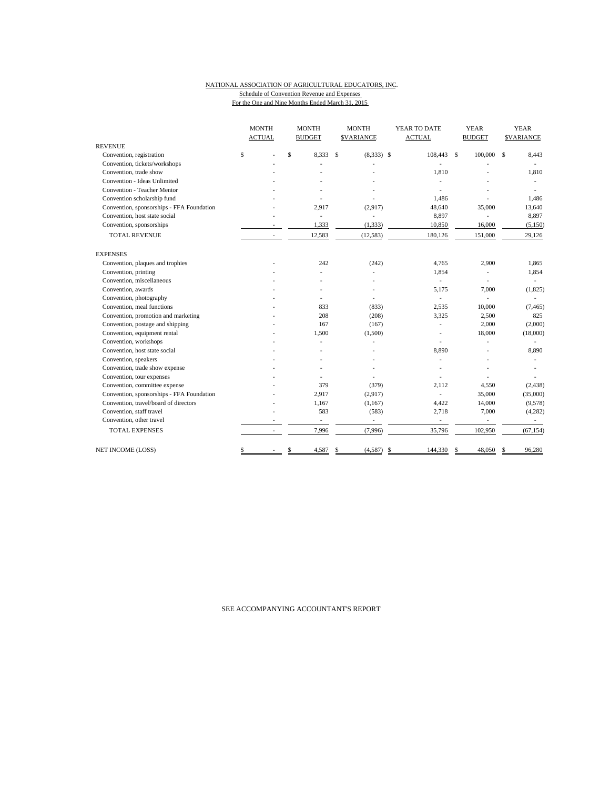#### NATIONAL ASSOCIATION OF AGRICULTURAL EDUCATORS, INC. Schedule of Convention Revenue and Expenses For the One and Nine Months Ended March 31, 2015

|                                           | <b>MONTH</b>             | <b>MONTH</b>             | <b>MONTH</b>                | YEAR TO DATE             | <b>YEAR</b>   | <b>YEAR</b>       |  |
|-------------------------------------------|--------------------------|--------------------------|-----------------------------|--------------------------|---------------|-------------------|--|
|                                           | <b>ACTUAL</b>            | <b>BUDGET</b>            | <b>SVARIANCE</b>            | <b>ACTUAL</b>            | <b>BUDGET</b> | <b>\$VARIANCE</b> |  |
| <b>REVENUE</b>                            |                          |                          |                             |                          |               |                   |  |
| Convention, registration                  | \$                       | \$<br>8.333              | $\mathbf S$<br>$(8,333)$ \$ | 108,443 \$               | 100,000       | 8,443<br>\$       |  |
| Convention, tickets/workshops             |                          |                          |                             |                          |               |                   |  |
| Convention, trade show                    |                          |                          |                             | 1,810                    |               | 1,810             |  |
| Convention - Ideas Unlimited              |                          |                          |                             |                          |               |                   |  |
| Convention - Teacher Mentor               |                          |                          |                             |                          |               |                   |  |
| Convention scholarship fund               |                          |                          |                             | 1,486                    |               | 1,486             |  |
| Convention, sponsorships - FFA Foundation |                          | 2,917                    | (2,917)                     | 48,640                   | 35,000        | 13,640            |  |
| Convention, host state social             |                          | $\overline{\phantom{a}}$ | ä,                          | 8,897                    |               | 8,897             |  |
| Convention, sponsorships                  |                          | 1,333                    | (1, 333)                    | 10,850                   | 16,000        | (5,150)           |  |
| <b>TOTAL REVENUE</b>                      | $\overline{\phantom{a}}$ | 12,583                   | (12, 583)                   | 180,126                  | 151,000       | 29,126            |  |
| <b>EXPENSES</b>                           |                          |                          |                             |                          |               |                   |  |
| Convention, plaques and trophies          |                          | 242                      | (242)                       | 4,765                    | 2,900         | 1,865             |  |
| Convention, printing                      |                          |                          |                             | 1,854                    | ÷,            | 1,854             |  |
| Convention, miscellaneous                 |                          |                          |                             | ÷.                       |               |                   |  |
| Convention, awards                        |                          |                          |                             | 5.175                    | 7,000         | (1, 825)          |  |
| Convention, photography                   |                          |                          |                             | ÷,                       |               |                   |  |
| Convention, meal functions                |                          | 833                      | (833)                       | 2,535                    | 10,000        | (7, 465)          |  |
| Convention, promotion and marketing       |                          | 208                      | (208)                       | 3,325                    | 2,500         | 825               |  |
| Convention, postage and shipping          |                          | 167                      | (167)                       |                          | 2,000         | (2,000)           |  |
| Convention, equipment rental              |                          | 1,500                    | (1,500)                     |                          | 18,000        | (18,000)          |  |
| Convention, workshops                     |                          |                          |                             |                          |               |                   |  |
| Convention, host state social             |                          |                          |                             | 8,890                    |               | 8,890             |  |
| Convention, speakers                      |                          |                          |                             | $\sim$                   |               |                   |  |
| Convention, trade show expense            |                          |                          |                             |                          |               |                   |  |
| Convention, tour expenses                 |                          |                          |                             |                          |               |                   |  |
| Convention, committee expense             |                          | 379                      | (379)                       | 2.112                    | 4,550         | (2, 438)          |  |
| Convention, sponsorships - FFA Foundation |                          | 2,917                    | (2,917)                     | ÷,                       | 35,000        | (35,000)          |  |
| Convention, travel/board of directors     |                          | 1,167                    | (1,167)                     | 4,422                    | 14,000        | (9,578)           |  |
| Convention, staff travel                  |                          | 583                      | (583)                       | 2,718                    | 7,000         | (4,282)           |  |
| Convention, other travel                  |                          | $\overline{\phantom{a}}$ | $\overline{\phantom{a}}$    | $\overline{\phantom{a}}$ | $\sim$        | $\sim$            |  |
| <b>TOTAL EXPENSES</b>                     | $\overline{\phantom{a}}$ | 7,996                    | (7,996)                     | 35,796                   | 102,950       | (67, 154)         |  |
| <b>NET INCOME (LOSS)</b>                  | \$                       | \$<br>4,587              | (4,587)<br>S                | 144,330<br>-\$           | 48,050<br>\$  | 96,280            |  |

SEE ACCOMPANYING ACCOUNTANT'S REPORT